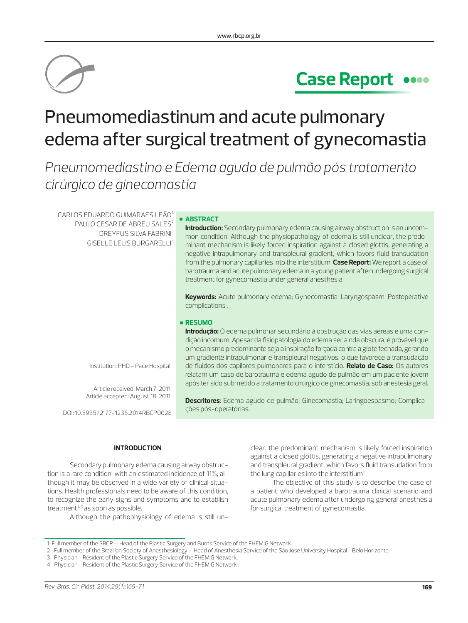

# **Case Report**

# Pneumomediastinum and acute pulmonary edema after surgical treatment of gynecomastia

*Pneumomediastino e Edema agudo de pulmão pós tratamento cirúrgico de ginecomastia*

 $CARLOS$  EDUARDO GUIMARAES LEÃO $1$ PAULO CÉSAR DE ABREU SALES<sup>2</sup> DREYFUS SILVA FABRINI³ GISELLE LELIS BURGARELLI4

### **ABSTRACT**

**Introduction:** Secondary pulmonary edema causing airway obstruction is an uncommon condition. Although the physiopathology of edema is still unclear, the predominant mechanism is likely forced inspiration against a closed glottis, generating a negative intrapulmonary and transpleural gradient, which favors fluid transudation from the pulmonary capillaries into the interstitium. **Case Report:** We report a case of barotrauma and acute pulmonary edema in a young patient after undergoing surgical treatment for gynecomastia under general anesthesia.

**Keywords:** Acute pulmonary edema; Gynecomastia; Laryngospasm; Postoperative complications .

dição incomum. Apesar da fisiopatologia do edema ser ainda obscura, é provável que o mecanismo predominante seja a inspiração forçada contra a glote fechada, gerando um gradiente intrapulmonar e transpleural negativos, o que favorece a transudação de fluidos dos capilares pulmonares para o interstício. **Relato de Caso:** Os autores relatam um caso de barotrauma e edema agudo de pulmão em um paciente jovem após ter sido submetido a tratamento cirúrgico de ginecomastia, sob anestesia geral.

**Descritores**: Edema agudo de pulmão; Ginecomastia; Laringoespasmo; Complica-

## **RESUMO Introdução:** O edema pulmonar secundário à obstrução das vias aéreas é uma con-

Institution: PHD - Pace Hospital.

Article received: March 7, 2011. Article accepted: August 18, 2011.

DOI: 10.5935/2177-1235.2014RBCP0028

### **INTRODUCTION**

Secondary pulmonary edema causing airway obstruction is a rare condition, with an estimated incidence of 11%, although it may be observed in a wide variety of clinical situations. Health professionals need to be aware of this condition, to recognize the early signs and symptoms and to establish treatment $1-5$  as soon as possible.

Although the pathophysiology of edema is still un-

clear, the predominant mechanism is likely forced inspiration against a closed glottis, generating a negative intrapulmonary and transpleural gradient, which favors fluid transudation from the lung capillaries into the interstitium<sup>1</sup>. .

The objective of this study is to describe the case of a patient who developed a barotrauma clinical scenario and acute pulmonary edema after undergoing general anesthesia for surgical treatment of gynecomastia.

ções pós-operatórias.

<sup>1-</sup>Full member of the SBCP – Head of the Plastic Surgery and Burns Service of the FHEMIG Network.

<sup>2-</sup> Full member of the Brazilian Society of Anesthesiology – Head of Anesthesia Service of the São José University Hospital - Belo Horizonte.

<sup>3-</sup> Physician - Resident of the Plastic Surgery Service of the FHEMIG Network.

<sup>4-</sup> Physician - Resident of the Plastic Surgery Service of the FHEMIG Network .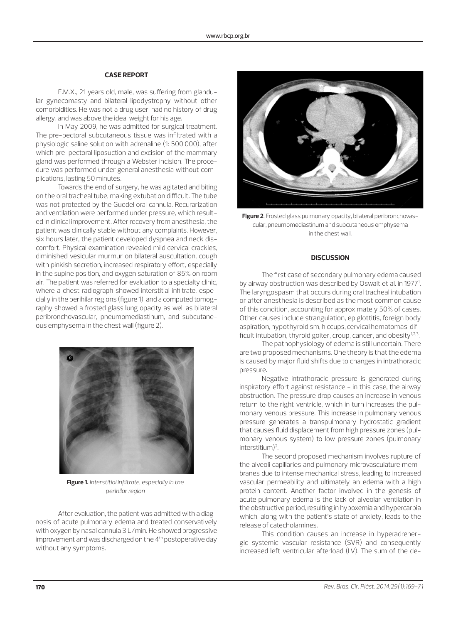## **CASE REPORT**

F.M.X., 21 years old, male, was suffering from glandular gynecomasty and bilateral lipodystrophy without other comorbidities. He was not a drug user, had no history of drug allergy, and was above the ideal weight for his age.

In May 2009, he was admitted for surgical treatment. The pre-pectoral subcutaneous tissue was infiltrated with a physiologic saline solution with adrenaline (1: 500,000), after which pre-pectoral liposuction and excision of the mammary gland was performed through a Webster incision. The procedure was performed under general anesthesia without complications, lasting 50 minutes.

Towards the end of surgery, he was agitated and biting on the oral tracheal tube, making extubation difficult. The tube was not protected by the Guedel oral cannula. Recurarization and ventilation were performed under pressure, which resulted in clinical improvement. After recovery from anesthesia, the patient was clinically stable without any complaints. However, six hours later, the patient developed dyspnea and neck discomfort. Physical examination revealed mild cervical crackles, diminished vesicular murmur on bilateral auscultation, cough with pinkish secretion, increased respiratory effort, especially in the supine position, and oxygen saturation of 85% on room air. The patient was referred for evaluation to a specialty clinic, where a chest radiograph showed interstitial infiltrate, especially in the perihilar regions (figure 1), and a computed tomography showed a frosted glass lung opacity as well as bilateral peribronchovascular, pneumomediastinum, and subcutaneous emphysema in the chest wall (figure 2).



**Figure 1.** *Interstitial infiltrate, especially in the perihilar region*

After evaluation, the patient was admitted with a diagnosis of acute pulmonary edema and treated conservatively with oxygen by nasal cannula 3 L/min. He showed progressive improvement and was discharged on the 4<sup>th</sup> postoperative day without any symptoms.



**Figure 2**. Frosted glass pulmonary opacity, bilateral peribronchovascular, pneumomediastinum and subcutaneous emphysema in the chest wall.

# **DISCUSSION**

The first case of secondary pulmonary edema caused by airway obstruction was described by Oswalt et al. in 1977<sup>1</sup>. The laryngospasm that occurs during oral tracheal intubation or after anesthesia is described as the most common cause of this condition, accounting for approximately 50% of cases. Other causes include strangulation, epiglottitis, foreign body aspiration, hypothyroidism, hiccups, cervical hematomas, difficult intubation, thyroid goiter, croup, cancer, and obesity<sup>1,2,3</sup>.

The pathophysiology of edema is still uncertain. There are two proposed mechanisms. One theory is that the edema is caused by major fluid shifts due to changes in intrathoracic pressure.

Negative intrathoracic pressure is generated during inspiratory effort against resistance - in this case, the airway obstruction. The pressure drop causes an increase in venous return to the right ventricle, which in turn increases the pulmonary venous pressure. This increase in pulmonary venous pressure generates a transpulmonary hydrostatic gradient that causes fluid displacement from high pressure zones (pulmonary venous system) to low pressure zones (pulmonary interstitium)<sup>2</sup>.

The second proposed mechanism involves rupture of the alveoli capillaries and pulmonary microvasculature membranes due to intense mechanical stress, leading to increased vascular permeability and ultimately an edema with a high protein content. Another factor involved in the genesis of acute pulmonary edema is the lack of alveolar ventilation in the obstructive period, resulting in hypoxemia and hypercarbia which, along with the patient's state of anxiety, leads to the release of catecholamines.

This condition causes an increase in hyperadrenergic systemic vascular resistance (SVR) and consequently increased left ventricular afterload (LV). The sum of the de